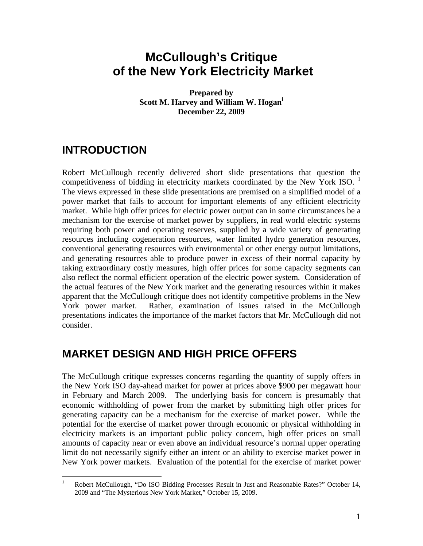# **McCullough's Critique of the New York Electricity Market**

**Prepared by Scott M. Harvey and William W. Hogani December 22, 2009** 

### **INTRODUCTION**

Robert McCullough recently delivered short slide presentations that question the competitiveness of bidding in electricity markets coordinated by the New York ISO. <sup>1</sup> The views expressed in these slide presentations are premised on a simplified model of a power market that fails to account for important elements of any efficient electricity market. While high offer prices for electric power output can in some circumstances be a mechanism for the exercise of market power by suppliers, in real world electric systems requiring both power and operating reserves, supplied by a wide variety of generating resources including cogeneration resources, water limited hydro generation resources, conventional generating resources with environmental or other energy output limitations, and generating resources able to produce power in excess of their normal capacity by taking extraordinary costly measures, high offer prices for some capacity segments can also reflect the normal efficient operation of the electric power system. Consideration of the actual features of the New York market and the generating resources within it makes apparent that the McCullough critique does not identify competitive problems in the New York power market. Rather, examination of issues raised in the McCullough presentations indicates the importance of the market factors that Mr. McCullough did not consider.

#### **MARKET DESIGN AND HIGH PRICE OFFERS**

The McCullough critique expresses concerns regarding the quantity of supply offers in the New York ISO day-ahead market for power at prices above \$900 per megawatt hour in February and March 2009. The underlying basis for concern is presumably that economic withholding of power from the market by submitting high offer prices for generating capacity can be a mechanism for the exercise of market power. While the potential for the exercise of market power through economic or physical withholding in electricity markets is an important public policy concern, high offer prices on small amounts of capacity near or even above an individual resource's normal upper operating limit do not necessarily signify either an intent or an ability to exercise market power in New York power markets. Evaluation of the potential for the exercise of market power

 $\frac{1}{1}$  Robert McCullough, "Do ISO Bidding Processes Result in Just and Reasonable Rates?" October 14, 2009 and "The Mysterious New York Market," October 15, 2009.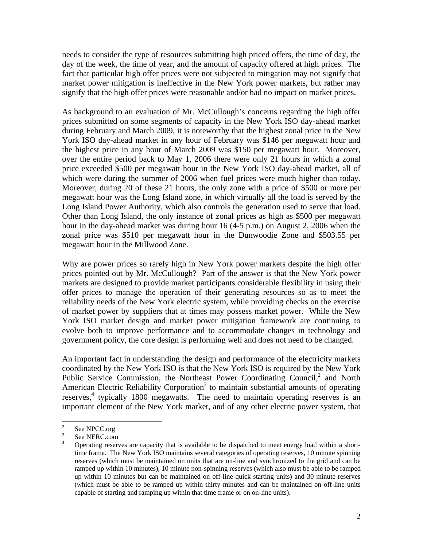needs to consider the type of resources submitting high priced offers, the time of day, the day of the week, the time of year, and the amount of capacity offered at high prices. The fact that particular high offer prices were not subjected to mitigation may not signify that market power mitigation is ineffective in the New York power markets, but rather may signify that the high offer prices were reasonable and/or had no impact on market prices.

As background to an evaluation of Mr. McCullough's concerns regarding the high offer prices submitted on some segments of capacity in the New York ISO day-ahead market during February and March 2009, it is noteworthy that the highest zonal price in the New York ISO day-ahead market in any hour of February was \$146 per megawatt hour and the highest price in any hour of March 2009 was \$150 per megawatt hour. Moreover, over the entire period back to May 1, 2006 there were only 21 hours in which a zonal price exceeded \$500 per megawatt hour in the New York ISO day-ahead market, all of which were during the summer of 2006 when fuel prices were much higher than today. Moreover, during 20 of these 21 hours, the only zone with a price of \$500 or more per megawatt hour was the Long Island zone, in which virtually all the load is served by the Long Island Power Authority, which also controls the generation used to serve that load. Other than Long Island, the only instance of zonal prices as high as \$500 per megawatt hour in the day-ahead market was during hour 16 (4-5 p.m.) on August 2, 2006 when the zonal price was \$510 per megawatt hour in the Dunwoodie Zone and \$503.55 per megawatt hour in the Millwood Zone.

Why are power prices so rarely high in New York power markets despite the high offer prices pointed out by Mr. McCullough? Part of the answer is that the New York power markets are designed to provide market participants considerable flexibility in using their offer prices to manage the operation of their generating resources so as to meet the reliability needs of the New York electric system, while providing checks on the exercise of market power by suppliers that at times may possess market power. While the New York ISO market design and market power mitigation framework are continuing to evolve both to improve performance and to accommodate changes in technology and government policy, the core design is performing well and does not need to be changed.

An important fact in understanding the design and performance of the electricity markets coordinated by the New York ISO is that the New York ISO is required by the New York Public Service Commission, the Northeast Power Coordinating Council,<sup>2</sup> and North American Electric Reliability Corporation<sup>3</sup> to maintain substantial amounts of operating reserves,<sup>4</sup> typically 1800 megawatts. The need to maintain operating reserves is an important element of the New York market, and of any other electric power system, that

 $\frac{1}{2}$ See NPCC.org

<sup>3</sup> See NERC.com 4

Operating reserves are capacity that is available to be dispatched to meet energy load within a shorttime frame. The New York ISO maintains several categories of operating reserves, 10 minute spinning reserves (which must be maintained on units that are on-line and synchronized to the grid and can be ramped up within 10 minutes), 10 minute non-spinning reserves (which also must be able to be ramped up within 10 minutes but can be maintained on off-line quick starting units) and 30 minute reserves (which must be able to be ramped up within thirty minutes and can be maintained on off-line units capable of starting and ramping up within that time frame or on on-line units).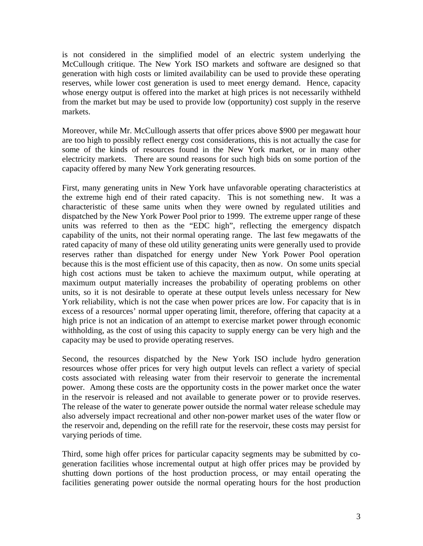is not considered in the simplified model of an electric system underlying the McCullough critique. The New York ISO markets and software are designed so that generation with high costs or limited availability can be used to provide these operating reserves, while lower cost generation is used to meet energy demand. Hence, capacity whose energy output is offered into the market at high prices is not necessarily withheld from the market but may be used to provide low (opportunity) cost supply in the reserve markets.

Moreover, while Mr. McCullough asserts that offer prices above \$900 per megawatt hour are too high to possibly reflect energy cost considerations, this is not actually the case for some of the kinds of resources found in the New York market, or in many other electricity markets. There are sound reasons for such high bids on some portion of the capacity offered by many New York generating resources.

First, many generating units in New York have unfavorable operating characteristics at the extreme high end of their rated capacity. This is not something new. It was a characteristic of these same units when they were owned by regulated utilities and dispatched by the New York Power Pool prior to 1999. The extreme upper range of these units was referred to then as the "EDC high", reflecting the emergency dispatch capability of the units, not their normal operating range. The last few megawatts of the rated capacity of many of these old utility generating units were generally used to provide reserves rather than dispatched for energy under New York Power Pool operation because this is the most efficient use of this capacity, then as now. On some units special high cost actions must be taken to achieve the maximum output, while operating at maximum output materially increases the probability of operating problems on other units, so it is not desirable to operate at these output levels unless necessary for New York reliability, which is not the case when power prices are low. For capacity that is in excess of a resources' normal upper operating limit, therefore, offering that capacity at a high price is not an indication of an attempt to exercise market power through economic withholding, as the cost of using this capacity to supply energy can be very high and the capacity may be used to provide operating reserves.

Second, the resources dispatched by the New York ISO include hydro generation resources whose offer prices for very high output levels can reflect a variety of special costs associated with releasing water from their reservoir to generate the incremental power. Among these costs are the opportunity costs in the power market once the water in the reservoir is released and not available to generate power or to provide reserves. The release of the water to generate power outside the normal water release schedule may also adversely impact recreational and other non-power market uses of the water flow or the reservoir and, depending on the refill rate for the reservoir, these costs may persist for varying periods of time.

Third, some high offer prices for particular capacity segments may be submitted by cogeneration facilities whose incremental output at high offer prices may be provided by shutting down portions of the host production process, or may entail operating the facilities generating power outside the normal operating hours for the host production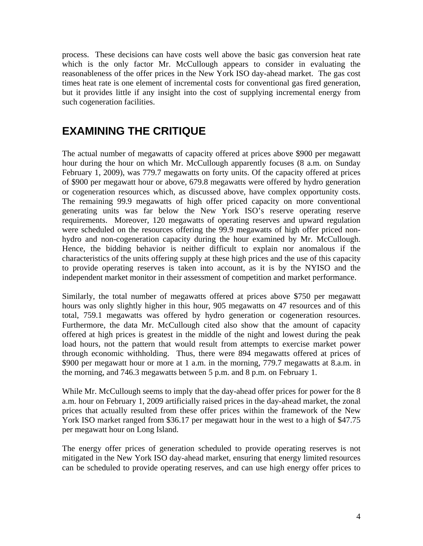process. These decisions can have costs well above the basic gas conversion heat rate which is the only factor Mr. McCullough appears to consider in evaluating the reasonableness of the offer prices in the New York ISO day-ahead market. The gas cost times heat rate is one element of incremental costs for conventional gas fired generation, but it provides little if any insight into the cost of supplying incremental energy from such cogeneration facilities.

#### **EXAMINING THE CRITIQUE**

The actual number of megawatts of capacity offered at prices above \$900 per megawatt hour during the hour on which Mr. McCullough apparently focuses (8 a.m. on Sunday February 1, 2009), was 779.7 megawatts on forty units. Of the capacity offered at prices of \$900 per megawatt hour or above, 679.8 megawatts were offered by hydro generation or cogeneration resources which, as discussed above, have complex opportunity costs. The remaining 99.9 megawatts of high offer priced capacity on more conventional generating units was far below the New York ISO's reserve operating reserve requirements. Moreover, 120 megawatts of operating reserves and upward regulation were scheduled on the resources offering the 99.9 megawatts of high offer priced nonhydro and non-cogeneration capacity during the hour examined by Mr. McCullough. Hence, the bidding behavior is neither difficult to explain nor anomalous if the characteristics of the units offering supply at these high prices and the use of this capacity to provide operating reserves is taken into account, as it is by the NYISO and the independent market monitor in their assessment of competition and market performance.

Similarly, the total number of megawatts offered at prices above \$750 per megawatt hours was only slightly higher in this hour, 905 megawatts on 47 resources and of this total, 759.1 megawatts was offered by hydro generation or cogeneration resources. Furthermore, the data Mr. McCullough cited also show that the amount of capacity offered at high prices is greatest in the middle of the night and lowest during the peak load hours, not the pattern that would result from attempts to exercise market power through economic withholding. Thus, there were 894 megawatts offered at prices of \$900 per megawatt hour or more at 1 a.m. in the morning, 779.7 megawatts at 8.a.m. in the morning, and 746.3 megawatts between 5 p.m. and 8 p.m. on February 1.

While Mr. McCullough seems to imply that the day-ahead offer prices for power for the 8 a.m. hour on February 1, 2009 artificially raised prices in the day-ahead market, the zonal prices that actually resulted from these offer prices within the framework of the New York ISO market ranged from \$36.17 per megawatt hour in the west to a high of \$47.75 per megawatt hour on Long Island.

The energy offer prices of generation scheduled to provide operating reserves is not mitigated in the New York ISO day-ahead market, ensuring that energy limited resources can be scheduled to provide operating reserves, and can use high energy offer prices to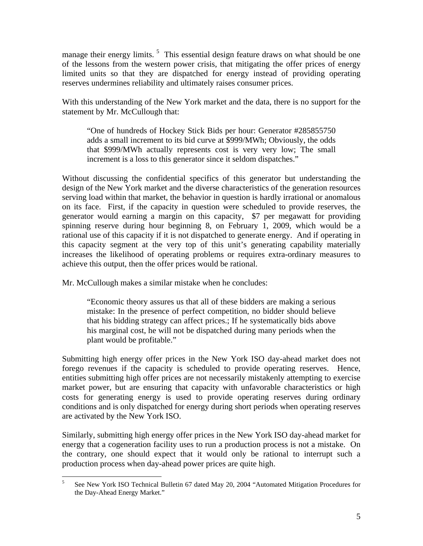manage their energy limits.<sup>5</sup> This essential design feature draws on what should be one of the lessons from the western power crisis, that mitigating the offer prices of energy limited units so that they are dispatched for energy instead of providing operating reserves undermines reliability and ultimately raises consumer prices.

With this understanding of the New York market and the data, there is no support for the statement by Mr. McCullough that:

"One of hundreds of Hockey Stick Bids per hour: Generator #285855750 adds a small increment to its bid curve at \$999/MWh; Obviously, the odds that \$999/MWh actually represents cost is very very low; The small increment is a loss to this generator since it seldom dispatches."

Without discussing the confidential specifics of this generator but understanding the design of the New York market and the diverse characteristics of the generation resources serving load within that market, the behavior in question is hardly irrational or anomalous on its face. First, if the capacity in question were scheduled to provide reserves, the generator would earning a margin on this capacity, \$7 per megawatt for providing spinning reserve during hour beginning 8, on February 1, 2009, which would be a rational use of this capacity if it is not dispatched to generate energy. And if operating in this capacity segment at the very top of this unit's generating capability materially increases the likelihood of operating problems or requires extra-ordinary measures to achieve this output, then the offer prices would be rational.

Mr. McCullough makes a similar mistake when he concludes:

"Economic theory assures us that all of these bidders are making a serious mistake: In the presence of perfect competition, no bidder should believe that his bidding strategy can affect prices.; If he systematically bids above his marginal cost, he will not be dispatched during many periods when the plant would be profitable."

Submitting high energy offer prices in the New York ISO day-ahead market does not forego revenues if the capacity is scheduled to provide operating reserves. Hence, entities submitting high offer prices are not necessarily mistakenly attempting to exercise market power, but are ensuring that capacity with unfavorable characteristics or high costs for generating energy is used to provide operating reserves during ordinary conditions and is only dispatched for energy during short periods when operating reserves are activated by the New York ISO.

Similarly, submitting high energy offer prices in the New York ISO day-ahead market for energy that a cogeneration facility uses to run a production process is not a mistake. On the contrary, one should expect that it would only be rational to interrupt such a production process when day-ahead power prices are quite high.

 5 See New York ISO Technical Bulletin 67 dated May 20, 2004 "Automated Mitigation Procedures for the Day-Ahead Energy Market."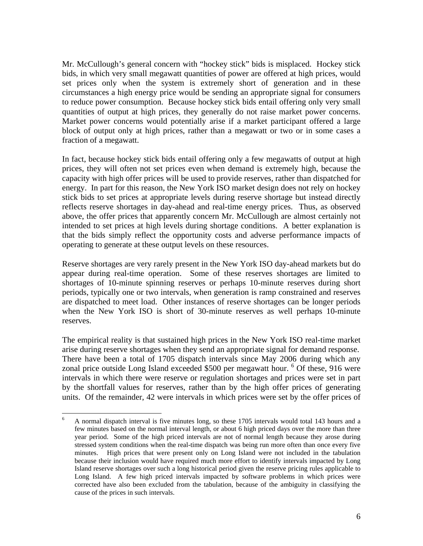Mr. McCullough's general concern with "hockey stick" bids is misplaced. Hockey stick bids, in which very small megawatt quantities of power are offered at high prices, would set prices only when the system is extremely short of generation and in these circumstances a high energy price would be sending an appropriate signal for consumers to reduce power consumption. Because hockey stick bids entail offering only very small quantities of output at high prices, they generally do not raise market power concerns. Market power concerns would potentially arise if a market participant offered a large block of output only at high prices, rather than a megawatt or two or in some cases a fraction of a megawatt.

In fact, because hockey stick bids entail offering only a few megawatts of output at high prices, they will often not set prices even when demand is extremely high, because the capacity with high offer prices will be used to provide reserves, rather than dispatched for energy. In part for this reason, the New York ISO market design does not rely on hockey stick bids to set prices at appropriate levels during reserve shortage but instead directly reflects reserve shortages in day-ahead and real-time energy prices. Thus, as observed above, the offer prices that apparently concern Mr. McCullough are almost certainly not intended to set prices at high levels during shortage conditions. A better explanation is that the bids simply reflect the opportunity costs and adverse performance impacts of operating to generate at these output levels on these resources.

Reserve shortages are very rarely present in the New York ISO day-ahead markets but do appear during real-time operation. Some of these reserves shortages are limited to shortages of 10-minute spinning reserves or perhaps 10-minute reserves during short periods, typically one or two intervals, when generation is ramp constrained and reserves are dispatched to meet load. Other instances of reserve shortages can be longer periods when the New York ISO is short of 30-minute reserves as well perhaps 10-minute reserves.

The empirical reality is that sustained high prices in the New York ISO real-time market arise during reserve shortages when they send an appropriate signal for demand response. There have been a total of 1705 dispatch intervals since May 2006 during which any zonal price outside Long Island exceeded \$500 per megawatt hour. <sup>6</sup> Of these, 916 were intervals in which there were reserve or regulation shortages and prices were set in part by the shortfall values for reserves, rather than by the high offer prices of generating units. Of the remainder, 42 were intervals in which prices were set by the offer prices of

 $\overline{a}$ 6 A normal dispatch interval is five minutes long, so these 1705 intervals would total 143 hours and a few minutes based on the normal interval length, or about 6 high priced days over the more than three year period. Some of the high priced intervals are not of normal length because they arose during stressed system conditions when the real-time dispatch was being run more often than once every five minutes. High prices that were present only on Long Island were not included in the tabulation because their inclusion would have required much more effort to identify intervals impacted by Long Island reserve shortages over such a long historical period given the reserve pricing rules applicable to Long Island. A few high priced intervals impacted by software problems in which prices were corrected have also been excluded from the tabulation, because of the ambiguity in classifying the cause of the prices in such intervals.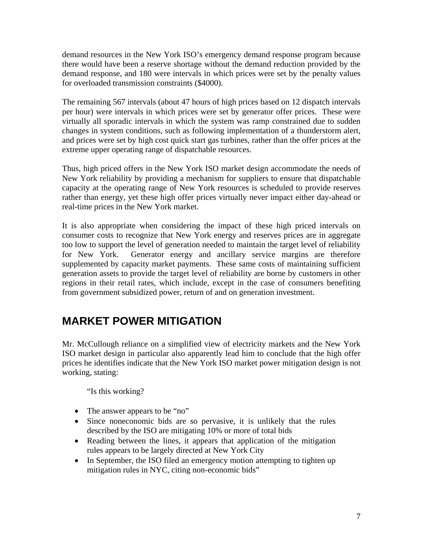demand resources in the New York ISO's emergency demand response program because there would have been a reserve shortage without the demand reduction provided by the demand response, and 180 were intervals in which prices were set by the penalty values for overloaded transmission constraints (\$4000).

The remaining 567 intervals (about 47 hours of high prices based on 12 dispatch intervals per hour) were intervals in which prices were set by generator offer prices. These were virtually all sporadic intervals in which the system was ramp constrained due to sudden changes in system conditions, such as following implementation of a thunderstorm alert, and prices were set by high cost quick start gas turbines, rather than the offer prices at the extreme upper operating range of dispatchable resources.

Thus, high priced offers in the New York ISO market design accommodate the needs of New York reliability by providing a mechanism for suppliers to ensure that dispatchable capacity at the operating range of New York resources is scheduled to provide reserves rather than energy, yet these high offer prices virtually never impact either day-ahead or real-time prices in the New York market.

It is also appropriate when considering the impact of these high priced intervals on consumer costs to recognize that New York energy and reserves prices are in aggregate too low to support the level of generation needed to maintain the target level of reliability for New York. Generator energy and ancillary service margins are therefore supplemented by capacity market payments. These same costs of maintaining sufficient generation assets to provide the target level of reliability are borne by customers in other regions in their retail rates, which include, except in the case of consumers benefiting from government subsidized power, return of and on generation investment.

## **MARKET POWER MITIGATION**

Mr. McCullough reliance on a simplified view of electricity markets and the New York ISO market design in particular also apparently lead him to conclude that the high offer prices he identifies indicate that the New York ISO market power mitigation design is not working, stating:

"Is this working?

- The answer appears to be "no"
- Since noneconomic bids are so pervasive, it is unlikely that the rules described by the ISO are mitigating 10% or more of total bids
- Reading between the lines, it appears that application of the mitigation rules appears to be largely directed at New York City
- In September, the ISO filed an emergency motion attempting to tighten up mitigation rules in NYC, citing non-economic bids"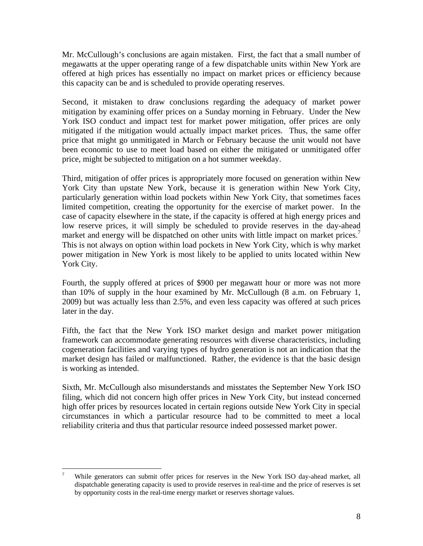Mr. McCullough's conclusions are again mistaken. First, the fact that a small number of megawatts at the upper operating range of a few dispatchable units within New York are offered at high prices has essentially no impact on market prices or efficiency because this capacity can be and is scheduled to provide operating reserves.

Second, it mistaken to draw conclusions regarding the adequacy of market power mitigation by examining offer prices on a Sunday morning in February. Under the New York ISO conduct and impact test for market power mitigation, offer prices are only mitigated if the mitigation would actually impact market prices. Thus, the same offer price that might go unmitigated in March or February because the unit would not have been economic to use to meet load based on either the mitigated or unmitigated offer price, might be subjected to mitigation on a hot summer weekday.

Third, mitigation of offer prices is appropriately more focused on generation within New York City than upstate New York, because it is generation within New York City, particularly generation within load pockets within New York City, that sometimes faces limited competition, creating the opportunity for the exercise of market power. In the case of capacity elsewhere in the state, if the capacity is offered at high energy prices and low reserve prices, it will simply be scheduled to provide reserves in the day-ahead market and energy will be dispatched on other units with little impact on market prices.<sup>7</sup> This is not always on option within load pockets in New York City, which is why market power mitigation in New York is most likely to be applied to units located within New York City.

Fourth, the supply offered at prices of \$900 per megawatt hour or more was not more than 10% of supply in the hour examined by Mr. McCullough (8 a.m. on February 1, 2009) but was actually less than 2.5%, and even less capacity was offered at such prices later in the day.

Fifth, the fact that the New York ISO market design and market power mitigation framework can accommodate generating resources with diverse characteristics, including cogeneration facilities and varying types of hydro generation is not an indication that the market design has failed or malfunctioned. Rather, the evidence is that the basic design is working as intended.

Sixth, Mr. McCullough also misunderstands and misstates the September New York ISO filing, which did not concern high offer prices in New York City, but instead concerned high offer prices by resources located in certain regions outside New York City in special circumstances in which a particular resource had to be committed to meet a local reliability criteria and thus that particular resource indeed possessed market power.

 $\frac{1}{7}$  While generators can submit offer prices for reserves in the New York ISO day-ahead market, all dispatchable generating capacity is used to provide reserves in real-time and the price of reserves is set by opportunity costs in the real-time energy market or reserves shortage values.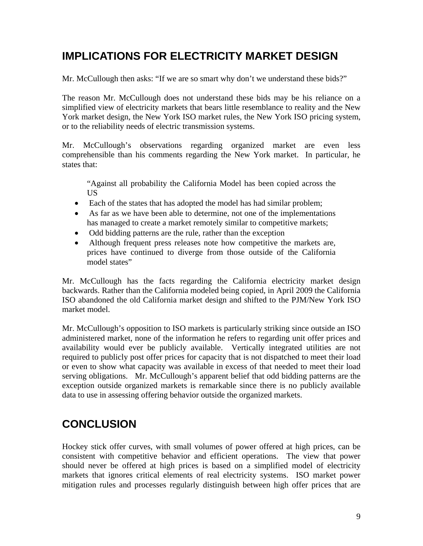## **IMPLICATIONS FOR ELECTRICITY MARKET DESIGN**

Mr. McCullough then asks: "If we are so smart why don't we understand these bids?"

The reason Mr. McCullough does not understand these bids may be his reliance on a simplified view of electricity markets that bears little resemblance to reality and the New York market design, the New York ISO market rules, the New York ISO pricing system, or to the reliability needs of electric transmission systems.

Mr. McCullough's observations regarding organized market are even less comprehensible than his comments regarding the New York market. In particular, he states that:

"Against all probability the California Model has been copied across the US

- Each of the states that has adopted the model has had similar problem;
- As far as we have been able to determine, not one of the implementations has managed to create a market remotely similar to competitive markets;
- Odd bidding patterns are the rule, rather than the exception
- Although frequent press releases note how competitive the markets are, prices have continued to diverge from those outside of the California model states"

Mr. McCullough has the facts regarding the California electricity market design backwards. Rather than the California modeled being copied, in April 2009 the California ISO abandoned the old California market design and shifted to the PJM/New York ISO market model.

Mr. McCullough's opposition to ISO markets is particularly striking since outside an ISO administered market, none of the information he refers to regarding unit offer prices and availability would ever be publicly available. Vertically integrated utilities are not required to publicly post offer prices for capacity that is not dispatched to meet their load or even to show what capacity was available in excess of that needed to meet their load serving obligations. Mr. McCullough's apparent belief that odd bidding patterns are the exception outside organized markets is remarkable since there is no publicly available data to use in assessing offering behavior outside the organized markets.

# **CONCLUSION**

Hockey stick offer curves, with small volumes of power offered at high prices, can be consistent with competitive behavior and efficient operations. The view that power should never be offered at high prices is based on a simplified model of electricity markets that ignores critical elements of real electricity systems. ISO market power mitigation rules and processes regularly distinguish between high offer prices that are